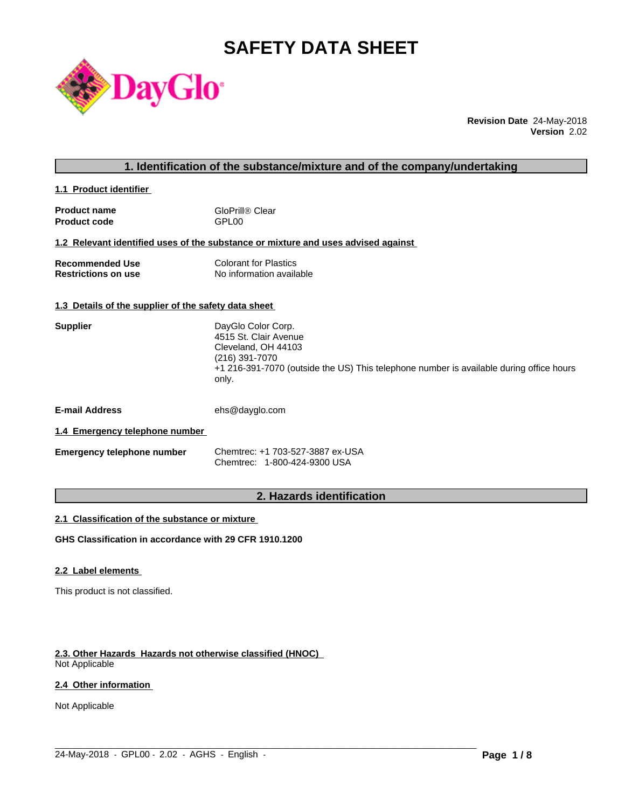# **SAFETY DATA SHEET**



**Revision Date** 24-May-2018 **Version** 2.02

# **1. Identification of the substance/mixture and of the company/undertaking**

**1.1 Product identifier** 

| <b>Product name</b> | GloPrill® Clear   |
|---------------------|-------------------|
| <b>Product code</b> | GPL <sub>00</sub> |

# **1.2 Relevant identified uses of the substance or mixture and uses advised against**

| <b>Recommended Use</b>     | <b>Colorant for Plastics</b> |
|----------------------------|------------------------------|
| <b>Restrictions on use</b> | No information available     |

# **1.3 Details of the supplier of the safety data sheet**

| DayGlo Color Corp.                                                                      |
|-----------------------------------------------------------------------------------------|
| 4515 St. Clair Avenue                                                                   |
| Cleveland, OH 44103                                                                     |
| (216) 391-7070                                                                          |
| +1 216-391-7070 (outside the US) This telephone number is available during office hours |
| only.                                                                                   |
|                                                                                         |

**E-mail Address** ehs@dayglo.com

# **1.4 Emergency telephone number**

| <b>Emergency telephone number</b> | Chemtrec: +1 703-527-3887 ex-USA |
|-----------------------------------|----------------------------------|
|                                   | Chemtrec: 1-800-424-9300 USA     |

# **2. Hazards identification**

 $\_$  ,  $\_$  ,  $\_$  ,  $\_$  ,  $\_$  ,  $\_$  ,  $\_$  ,  $\_$  ,  $\_$  ,  $\_$  ,  $\_$  ,  $\_$  ,  $\_$  ,  $\_$  ,  $\_$  ,  $\_$  ,  $\_$  ,  $\_$  ,  $\_$  ,  $\_$  ,  $\_$  ,  $\_$  ,  $\_$  ,  $\_$  ,  $\_$  ,  $\_$  ,  $\_$  ,  $\_$  ,  $\_$  ,  $\_$  ,  $\_$  ,  $\_$  ,  $\_$  ,  $\_$  ,  $\_$  ,  $\_$  ,  $\_$  ,

# **2.1 Classification of the substance or mixture**

**GHS Classification in accordance with 29 CFR 1910.1200**

# **2.2 Label elements**

This product is not classified.

# **2.3. Other Hazards Hazards not otherwise classified (HNOC)**

Not Applicable

# **2.4 Other information**

Not Applicable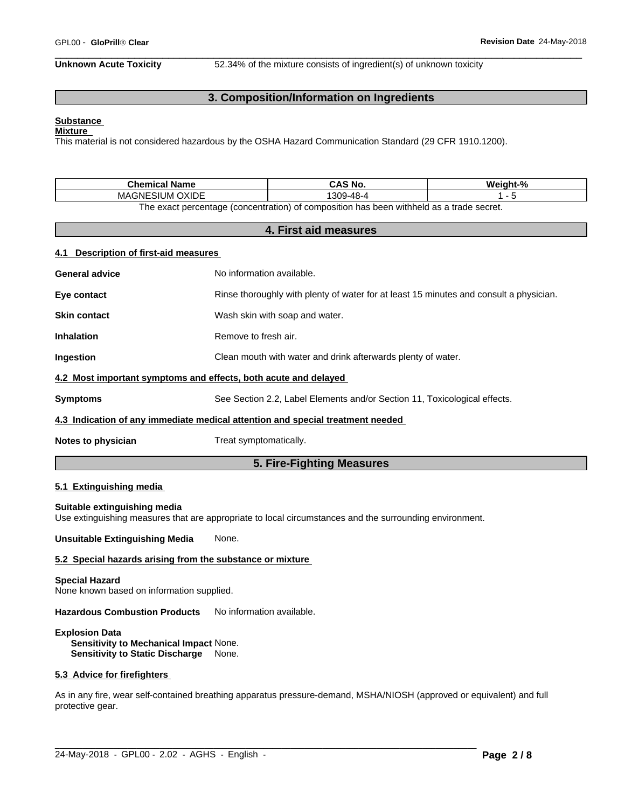**Unknown Acute Toxicity** 52.34% of the mixture consists of ingredient(s) of unknown toxicity

# **3. Composition/Information on Ingredients**

#### **Substance Mixture**

This material is not considered hazardous by the OSHA Hazard Communication Standard (29 CFR 1910.1200).

| Chemical<br>l Name                                                                      | ≦ NO.       | $\mathbf{a}$<br>Noinh |  |
|-----------------------------------------------------------------------------------------|-------------|-----------------------|--|
| )XIDE<br><b>MAGNE</b><br>511<br>JM 1                                                    | 309<br>48-L |                       |  |
| The exact perceptage (concentration) of composition has been withhold as a trade coaret |             |                       |  |

The exact percentage (concentration) of composition has been withheld as a trade secret.

# **4. First aid measures**

# **4.1 Description of first-aid measures**

| 5. Fire-Fighting Measures                                                                    |                                                                                        |  |  |  |
|----------------------------------------------------------------------------------------------|----------------------------------------------------------------------------------------|--|--|--|
| Notes to physician                                                                           | Treat symptomatically.                                                                 |  |  |  |
| 4.3 Indication of any immediate medical attention and special treatment needed               |                                                                                        |  |  |  |
| <b>Symptoms</b><br>See Section 2.2, Label Elements and/or Section 11, Toxicological effects. |                                                                                        |  |  |  |
| 4.2 Most important symptoms and effects, both acute and delayed                              |                                                                                        |  |  |  |
| <b>Ingestion</b>                                                                             | Clean mouth with water and drink afterwards plenty of water.                           |  |  |  |
| <b>Inhalation</b>                                                                            | Remove to fresh air.                                                                   |  |  |  |
| <b>Skin contact</b>                                                                          | Wash skin with soap and water.                                                         |  |  |  |
| Eye contact                                                                                  | Rinse thoroughly with plenty of water for at least 15 minutes and consult a physician. |  |  |  |
| <b>General advice</b>                                                                        | No information available.                                                              |  |  |  |

# **5.1 Extinguishing media**

#### **Suitable extinguishing media**

Use extinguishing measures that are appropriate to local circumstances and the surrounding environment.

**Unsuitable Extinguishing Media** None.

#### **5.2 Special hazards arising from the substance or mixture**

#### **Special Hazard**

None known based on information supplied.

**Hazardous Combustion Products** No information available.

#### **Explosion Data Sensitivity to Mechanical Impact** None. **Sensitivity to Static Discharge** None.

#### **5.3 Advice for firefighters**

As in any fire, wear self-contained breathing apparatus pressure-demand, MSHA/NIOSH (approved or equivalent) and full protective gear.

 $\_$  ,  $\_$  ,  $\_$  ,  $\_$  ,  $\_$  ,  $\_$  ,  $\_$  ,  $\_$  ,  $\_$  ,  $\_$  ,  $\_$  ,  $\_$  ,  $\_$  ,  $\_$  ,  $\_$  ,  $\_$  ,  $\_$  ,  $\_$  ,  $\_$  ,  $\_$  ,  $\_$  ,  $\_$  ,  $\_$  ,  $\_$  ,  $\_$  ,  $\_$  ,  $\_$  ,  $\_$  ,  $\_$  ,  $\_$  ,  $\_$  ,  $\_$  ,  $\_$  ,  $\_$  ,  $\_$  ,  $\_$  ,  $\_$  ,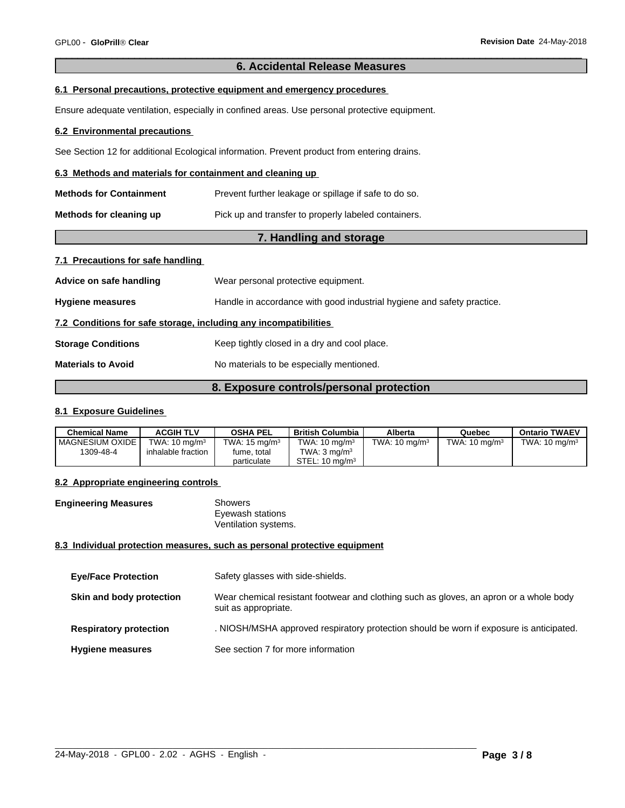# **6. Accidental Release Measures**

# **6.1 Personal precautions, protective equipment and emergency procedures**

Ensure adequate ventilation, especially in confined areas. Use personal protective equipment.

#### **6.2 Environmental precautions**

See Section 12 for additional Ecological information. Prevent product from entering drains.

#### **6.3 Methods and materials for containment and cleaning up**

| <b>Methods for Containment</b> | Prevent further leakage or spillage if safe to do so. |
|--------------------------------|-------------------------------------------------------|
| Methods for cleaning up        | Pick up and transfer to properly labeled containers.  |

# **7. Handling and storage**

# **7.1 Precautions for safe handling**

| Advice on safe handling                                          | Wear personal protective equipment.                                    |  |
|------------------------------------------------------------------|------------------------------------------------------------------------|--|
| <b>Hygiene measures</b>                                          | Handle in accordance with good industrial hygiene and safety practice. |  |
| 7.2 Conditions for safe storage, including any incompatibilities |                                                                        |  |
| <b>Storage Conditions</b>                                        | Keep tightly closed in a dry and cool place.                           |  |
| <b>Materials to Avoid</b>                                        | No materials to be especially mentioned.                               |  |
|                                                                  |                                                                        |  |

# **8. Exposure controls/personal protection**

# **8.1 Exposure Guidelines**

| Chemical Name            | <b>ACGIH TLV</b>         | <b>OSHA PEL</b>          | British Columbia          | Alberta                  | Quebec                   | <b>Ontario TWAEV</b>     |
|--------------------------|--------------------------|--------------------------|---------------------------|--------------------------|--------------------------|--------------------------|
| <b>I MAGNESIUM OXIDE</b> | TWA: $10 \text{ ma/m}^3$ | TWA: $15 \text{ ma/m}^3$ | TWA: $10 \text{ mg/m}^3$  | TWA: $10 \text{ ma/m}^3$ | TWA: $10 \text{ ma/m}^3$ | TWA: $10 \text{ ma/m}^3$ |
| 1309-48-4                | inhalable fraction       | fume, total              | TWA: $3 \text{ ma/m}^3$   |                          |                          |                          |
|                          |                          | particulate              | STEL: $10 \text{ ma/m}^3$ |                          |                          |                          |

# **8.2 Appropriate engineering controls**

**Engineering Measures** Showers Eyewash stations Ventilation systems.

# **8.3 Individual protection measures, such as personal protective equipment**

| <b>Eye/Face Protection</b>    | Safety glasses with side-shields.                                                                              |
|-------------------------------|----------------------------------------------------------------------------------------------------------------|
| Skin and body protection      | Wear chemical resistant footwear and clothing such as gloves, an apron or a whole body<br>suit as appropriate. |
| <b>Respiratory protection</b> | . NIOSH/MSHA approved respiratory protection should be worn if exposure is anticipated.                        |
| <b>Hygiene measures</b>       | See section 7 for more information                                                                             |

 $\_$  ,  $\_$  ,  $\_$  ,  $\_$  ,  $\_$  ,  $\_$  ,  $\_$  ,  $\_$  ,  $\_$  ,  $\_$  ,  $\_$  ,  $\_$  ,  $\_$  ,  $\_$  ,  $\_$  ,  $\_$  ,  $\_$  ,  $\_$  ,  $\_$  ,  $\_$  ,  $\_$  ,  $\_$  ,  $\_$  ,  $\_$  ,  $\_$  ,  $\_$  ,  $\_$  ,  $\_$  ,  $\_$  ,  $\_$  ,  $\_$  ,  $\_$  ,  $\_$  ,  $\_$  ,  $\_$  ,  $\_$  ,  $\_$  ,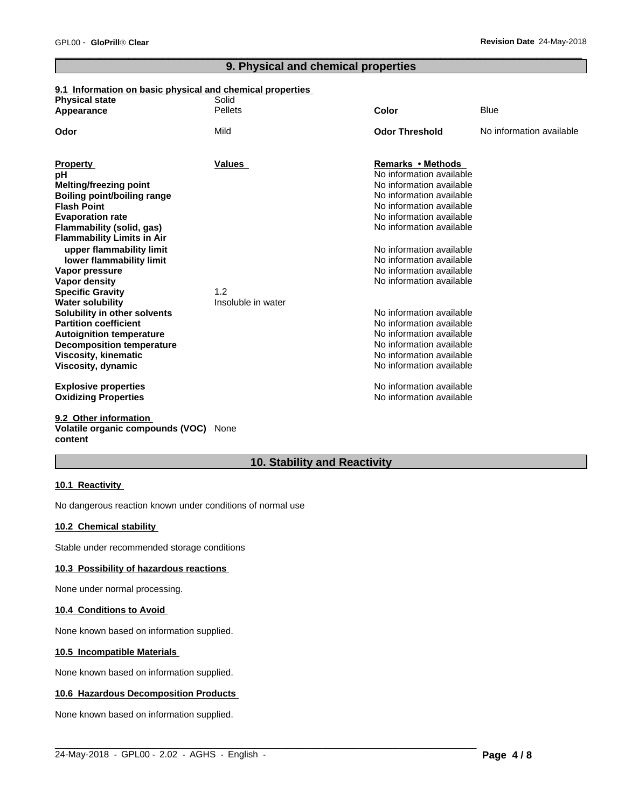# **9. Physical and chemical properties**

# **9.1 Information on basic physical and chemical properties**

| <b>Physical state</b>                                        | Solid              |                                               |                          |
|--------------------------------------------------------------|--------------------|-----------------------------------------------|--------------------------|
| Appearance                                                   | <b>Pellets</b>     | Color                                         | <b>Blue</b>              |
| Odor                                                         | Mild               | <b>Odor Threshold</b>                         | No information available |
|                                                              |                    |                                               |                          |
| <b>Property</b>                                              | Values             | Remarks • Methods<br>No information available |                          |
| рH                                                           |                    | No information available                      |                          |
| <b>Melting/freezing point</b>                                |                    | No information available                      |                          |
| Boiling point/boiling range<br><b>Flash Point</b>            |                    | No information available                      |                          |
|                                                              |                    | No information available                      |                          |
| <b>Evaporation rate</b><br>Flammability (solid, gas)         |                    | No information available                      |                          |
| <b>Flammability Limits in Air</b>                            |                    |                                               |                          |
|                                                              |                    | No information available                      |                          |
| upper flammability limit                                     |                    | No information available                      |                          |
| lower flammability limit                                     |                    | No information available                      |                          |
| Vapor pressure                                               |                    | No information available                      |                          |
| Vapor density                                                | 1.2                |                                               |                          |
| <b>Specific Gravity</b>                                      | Insoluble in water |                                               |                          |
| <b>Water solubility</b>                                      |                    | No information available                      |                          |
| Solubility in other solvents<br><b>Partition coefficient</b> |                    | No information available                      |                          |
|                                                              |                    | No information available                      |                          |
| <b>Autoignition temperature</b>                              |                    | No information available                      |                          |
| <b>Decomposition temperature</b>                             |                    | No information available                      |                          |
| <b>Viscosity, kinematic</b>                                  |                    | No information available                      |                          |
| Viscosity, dynamic                                           |                    |                                               |                          |
| <b>Explosive properties</b>                                  |                    | No information available                      |                          |
| <b>Oxidizing Properties</b>                                  |                    | No information available                      |                          |
| 9.2 Other information                                        |                    |                                               |                          |

# **Volatile organic compounds (VOC)** None **content**

# **10. Stability and Reactivity**

 $\_$  ,  $\_$  ,  $\_$  ,  $\_$  ,  $\_$  ,  $\_$  ,  $\_$  ,  $\_$  ,  $\_$  ,  $\_$  ,  $\_$  ,  $\_$  ,  $\_$  ,  $\_$  ,  $\_$  ,  $\_$  ,  $\_$  ,  $\_$  ,  $\_$  ,  $\_$  ,  $\_$  ,  $\_$  ,  $\_$  ,  $\_$  ,  $\_$  ,  $\_$  ,  $\_$  ,  $\_$  ,  $\_$  ,  $\_$  ,  $\_$  ,  $\_$  ,  $\_$  ,  $\_$  ,  $\_$  ,  $\_$  ,  $\_$  ,

# **10.1 Reactivity**

No dangerous reaction known under conditions of normal use

# **10.2 Chemical stability**

Stable under recommended storage conditions

# **10.3 Possibility of hazardous reactions**

None under normal processing.

# **10.4 Conditions to Avoid**

None known based on information supplied.

# **10.5 Incompatible Materials**

None known based on information supplied.

# **10.6 Hazardous Decomposition Products**

None known based on information supplied.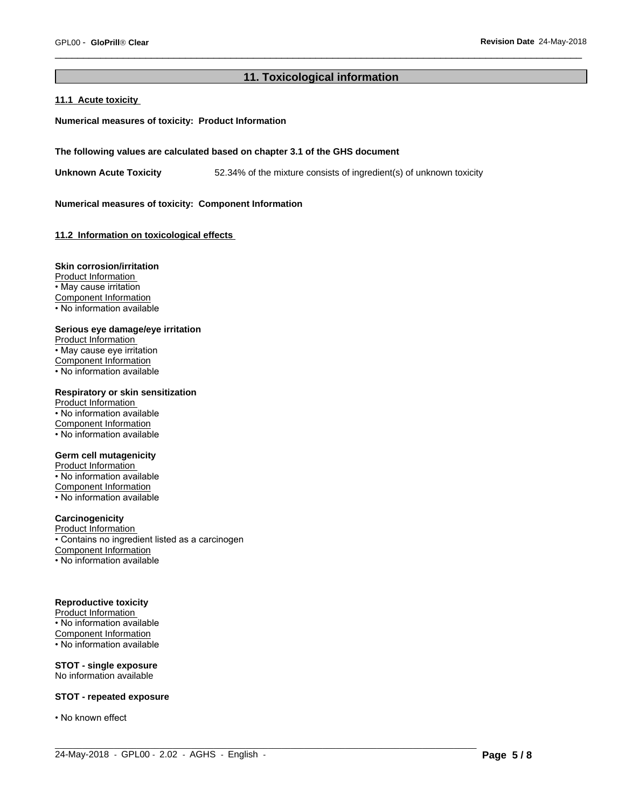# **11. Toxicological information**

 $\_$  ,  $\_$  ,  $\_$  ,  $\_$  ,  $\_$  ,  $\_$  ,  $\_$  ,  $\_$  ,  $\_$  ,  $\_$  ,  $\_$  ,  $\_$  ,  $\_$  ,  $\_$  ,  $\_$  ,  $\_$  ,  $\_$  ,  $\_$  ,  $\_$  ,  $\_$  ,  $\_$  ,  $\_$  ,  $\_$  ,  $\_$  ,  $\_$  ,  $\_$  ,  $\_$  ,  $\_$  ,  $\_$  ,  $\_$  ,  $\_$  ,  $\_$  ,  $\_$  ,  $\_$  ,  $\_$  ,  $\_$  ,  $\_$  ,

# **11.1 Acute toxicity**

# **Numerical measures of toxicity: Product Information**

#### **The following values are calculated based on chapter 3.1 of the GHS document**

**Unknown Acute Toxicity** 52.34% of the mixture consists of ingredient(s) of unknown toxicity

#### **Numerical measures of toxicity: Component Information**

# **11.2 Information on toxicologicaleffects**

# **Skin corrosion/irritation**

Product Information • May cause irritation Component Information • No information available

#### **Serious eye damage/eye irritation**

Product Information • May cause eye irritation Component Information • No information available

# **Respiratory or skin sensitization**

Product Information • No information available Component Information • No information available

# **Germ cell mutagenicity**

Product Information • No information available Component Information • No information available

# **Carcinogenicity**

Product Information • Contains no ingredient listed as a carcinogen Component Information • No information available

#### **Reproductive toxicity**

Product Information • No information available Component Information • No information available

#### **STOT - single exposure** No information available

### **STOT - repeated exposure**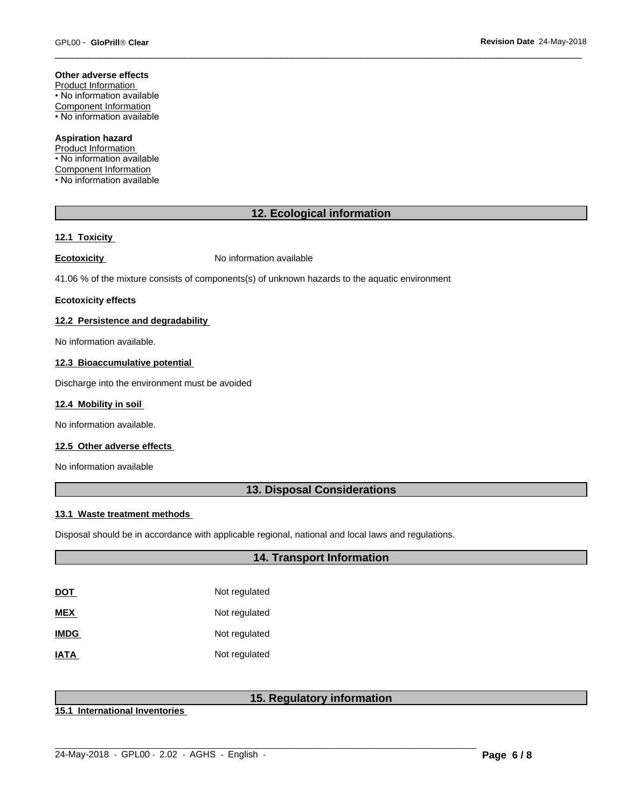#### **Other adverse effects**

Product Information • No information available Component Information • No information available

# **Aspiration hazard**

Product Information • No information available Component Information • No information available

# **12. Ecological information**

# **12.1 Toxicity**

**Ecotoxicity No information available** 

41.06 % of the mixture consists of components(s) of unknown hazards to the aquatic environment

### **Ecotoxicity effects**

# **12.2 Persistence and degradability**

No information available.

#### **12.3 Bioaccumulative potential**

Discharge into the environment must be avoided

# **12.4 Mobility in soil**

No information available.

# **12.5 Other adverse effects**

No information available

# **13. Disposal Considerations**

#### **13.1 Waste treatment methods**

Disposal should be in accordance with applicable regional, national and local laws and regulations.

# **14. Transport Information**

| DOT         | Not regulated |
|-------------|---------------|
| MEX         | Not regulated |
| <b>IMDG</b> | Not regulated |
| IATA        | Not regulated |

# **15. Regulatory information**

 $\_$  ,  $\_$  ,  $\_$  ,  $\_$  ,  $\_$  ,  $\_$  ,  $\_$  ,  $\_$  ,  $\_$  ,  $\_$  ,  $\_$  ,  $\_$  ,  $\_$  ,  $\_$  ,  $\_$  ,  $\_$  ,  $\_$  ,  $\_$  ,  $\_$  ,  $\_$  ,  $\_$  ,  $\_$  ,  $\_$  ,  $\_$  ,  $\_$  ,  $\_$  ,  $\_$  ,  $\_$  ,  $\_$  ,  $\_$  ,  $\_$  ,  $\_$  ,  $\_$  ,  $\_$  ,  $\_$  ,  $\_$  ,  $\_$  ,

**15.1 International Inventories**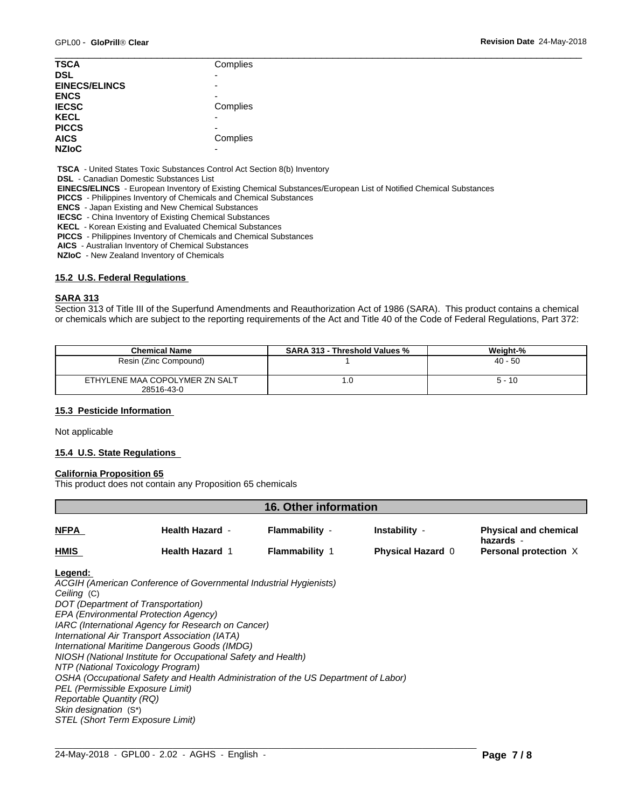| <b>TSCA</b>          | Complies                 |  |
|----------------------|--------------------------|--|
| <b>DSL</b>           | $\overline{\phantom{0}}$ |  |
| <b>EINECS/ELINCS</b> | $\overline{\phantom{0}}$ |  |
| <b>ENCS</b>          |                          |  |
| <b>IECSC</b>         | Complies                 |  |
| <b>KECL</b>          | $\overline{\phantom{0}}$ |  |
| <b>PICCS</b>         | -                        |  |
| <b>AICS</b>          | Complies                 |  |
| <b>NZIOC</b>         | -                        |  |
|                      |                          |  |

 **TSCA** - United States Toxic Substances Control Act Section 8(b) Inventory

 **DSL** - Canadian Domestic Substances List

 **EINECS/ELINCS** - European Inventory of Existing Chemical Substances/European List of Notified Chemical Substances

 **PICCS** - Philippines Inventory of Chemicals and Chemical Substances

 **ENCS** - Japan Existing and New Chemical Substances

 **IECSC** - China Inventory of Existing Chemical Substances

 **KECL** - Korean Existing and Evaluated Chemical Substances

 **PICCS** - Philippines Inventory of Chemicals and Chemical Substances

 **AICS** - Australian Inventory of Chemical Substances

 **NZIoC** - New Zealand Inventory of Chemicals

# **15.2 U.S. Federal Regulations**

# **SARA 313**

Section 313 of Title III of the Superfund Amendments and Reauthorization Act of 1986 (SARA). This product contains a chemical or chemicals which are subject to the reporting requirements of the Act and Title 40 of the Code of Federal Regulations, Part 372:

| <b>Chemical Name</b>                         | <b>SARA 313 - Threshold Values %</b> | Weight-%  |
|----------------------------------------------|--------------------------------------|-----------|
| Resin (Zinc Compound)                        |                                      | $40 - 50$ |
| ETHYLENE MAA COPOLYMER ZN SALT<br>28516-43-0 | . . U                                | $5 - 10$  |

# **15.3 Pesticide Information**

Not applicable

# **15.4 U.S. State Regulations**

#### **California Proposition 65**

This product does not contain any Proposition 65 chemicals

| <b>16. Other information</b> |                        |                       |                          |                                           |  |  |
|------------------------------|------------------------|-----------------------|--------------------------|-------------------------------------------|--|--|
| <b>NFPA</b>                  | <b>Health Hazard -</b> | Flammability -        | Instability -            | <b>Physical and chemical</b>              |  |  |
| <b>HMIS</b>                  | <b>Health Hazard 1</b> | <b>Flammability 1</b> | <b>Physical Hazard 0</b> | hazards -<br><b>Personal protection X</b> |  |  |

 $\_$  ,  $\_$  ,  $\_$  ,  $\_$  ,  $\_$  ,  $\_$  ,  $\_$  ,  $\_$  ,  $\_$  ,  $\_$  ,  $\_$  ,  $\_$  ,  $\_$  ,  $\_$  ,  $\_$  ,  $\_$  ,  $\_$  ,  $\_$  ,  $\_$  ,  $\_$  ,  $\_$  ,  $\_$  ,  $\_$  ,  $\_$  ,  $\_$  ,  $\_$  ,  $\_$  ,  $\_$  ,  $\_$  ,  $\_$  ,  $\_$  ,  $\_$  ,  $\_$  ,  $\_$  ,  $\_$  ,  $\_$  ,  $\_$  ,

#### **Legend:**

*ACGIH (American Conference of Governmental Industrial Hygienists) Ceiling* (C) *DOT (Department of Transportation) EPA (Environmental Protection Agency) IARC (International Agency for Research on Cancer) International Air Transport Association (IATA) International Maritime Dangerous Goods (IMDG) NIOSH (National Institute for Occupational Safety and Health) NTP (National Toxicology Program) OSHA (Occupational Safety and Health Administration of the US Department of Labor) PEL (Permissible Exposure Limit) Reportable Quantity (RQ) Skin designation* (S\*) *STEL (Short Term Exposure Limit)*